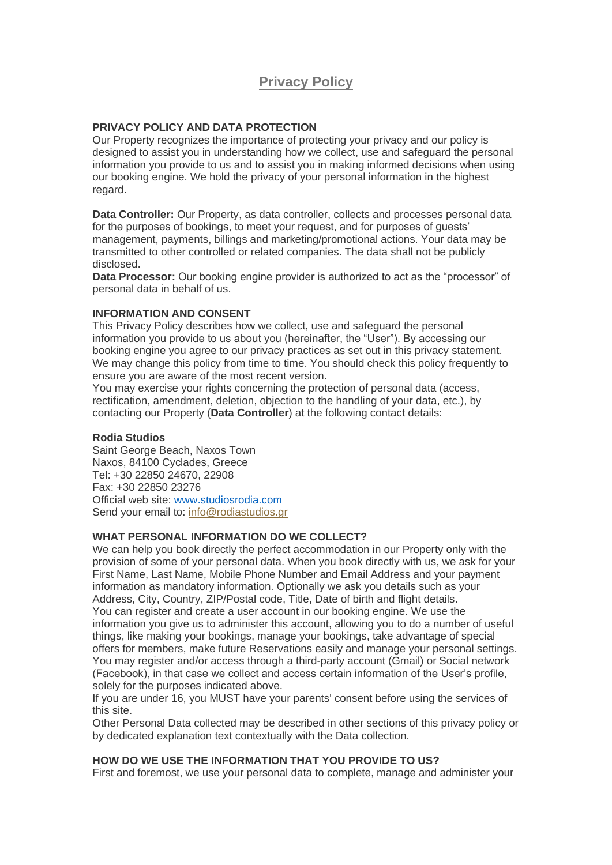# **Privacy Policy**

## **PRIVACY POLICY AND DATA PROTECTION**

Our Property recognizes the importance of protecting your privacy and our policy is designed to assist you in understanding how we collect, use and safeguard the personal information you provide to us and to assist you in making informed decisions when using our booking engine. We hold the privacy of your personal information in the highest regard.

**Data Controller:** Our Property, as data controller, collects and processes personal data for the purposes of bookings, to meet your request, and for purposes of guests' management, payments, billings and marketing/promotional actions. Your data may be transmitted to other controlled or related companies. The data shall not be publicly disclosed.

**Data Processor:** Our booking engine provider is authorized to act as the "processor" of personal data in behalf of us.

#### **INFORMATION AND CONSENT**

This Privacy Policy describes how we collect, use and safeguard the personal information you provide to us about you (hereinafter, the "User"). By accessing our booking engine you agree to our privacy practices as set out in this privacy statement. We may change this policy from time to time. You should check this policy frequently to ensure you are aware of the most recent version.

You may exercise your rights concerning the protection of personal data (access, rectification, amendment, deletion, objection to the handling of your data, etc.), by contacting our Property (**Data Controller**) at the following contact details:

#### **Rodia Studios**

Saint George Beach, Naxos Town Naxos, 84100 Cyclades, Greece Tel: +30 22850 24670, 22908 Fax: +30 22850 23276 Official web site: [www.studiosrodia.com](http://www.studiosrodia.com/) Send your email to: [info@rodiastudios.gr](mailto:info@rodiastudios.gr)

#### **WHAT PERSONAL INFORMATION DO WE COLLECT?**

We can help you book directly the perfect accommodation in our Property only with the provision of some of your personal data. When you book directly with us, we ask for your First Name, Last Name, Mobile Phone Number and Email Address and your payment information as mandatory information. Optionally we ask you details such as your Address, City, Country, ZIP/Postal code, Title, Date of birth and flight details. You can register and create a user account in our booking engine. We use the information you give us to administer this account, allowing you to do a number of useful things, like making your bookings, manage your bookings, take advantage of special offers for members, make future Reservations easily and manage your personal settings. You may register and/or access through a third-party account (Gmail) or Social network (Facebook), in that case we collect and access certain information of the User's profile, solely for the purposes indicated above.

If you are under 16, you MUST have your parents' consent before using the services of this site.

Other Personal Data collected may be described in other sections of this privacy policy or by dedicated explanation text contextually with the Data collection.

#### **HOW DO WE USE THE INFORMATION THAT YOU PROVIDE TO US?**

First and foremost, we use your personal data to complete, manage and administer your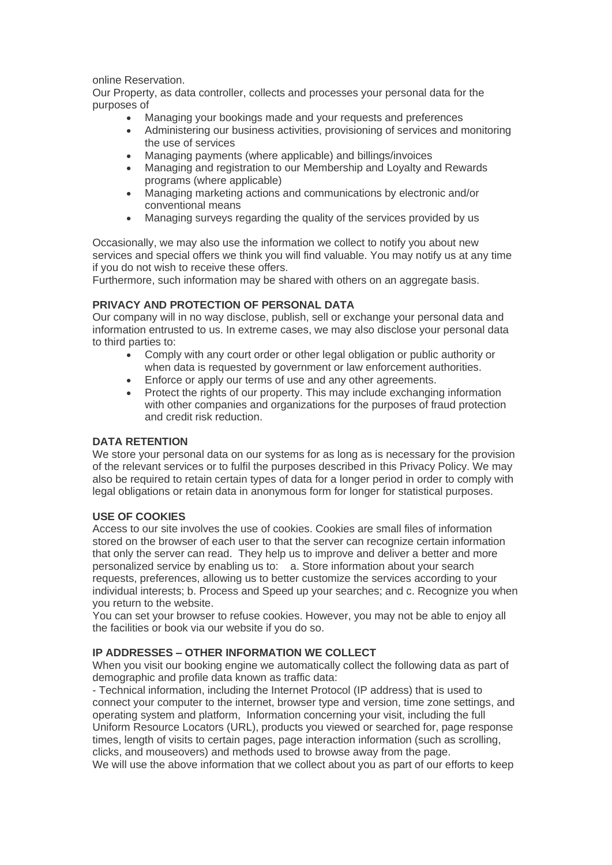online Reservation.

Our Property, as data controller, collects and processes your personal data for the purposes of

- Managing your bookings made and your requests and preferences
- Administering our business activities, provisioning of services and monitoring the use of services
- Managing payments (where applicable) and billings/invoices
- Managing and registration to our Membership and Loyalty and Rewards programs (where applicable)
- Managing marketing actions and communications by electronic and/or conventional means
- Managing surveys regarding the quality of the services provided by us

Occasionally, we may also use the information we collect to notify you about new services and special offers we think you will find valuable. You may notify us at any time if you do not wish to receive these offers.

Furthermore, such information may be shared with others on an aggregate basis.

## **PRIVACY AND PROTECTION OF PERSONAL DATA**

Our company will in no way disclose, publish, sell or exchange your personal data and information entrusted to us. In extreme cases, we may also disclose your personal data to third parties to:

- Comply with any court order or other legal obligation or public authority or when data is requested by government or law enforcement authorities.
- Enforce or apply our terms of use and any other agreements.
- Protect the rights of our property. This may include exchanging information with other companies and organizations for the purposes of fraud protection and credit risk reduction.

# **DATA RETENTION**

We store your personal data on our systems for as long as is necessary for the provision of the relevant services or to fulfil the purposes described in this Privacy Policy. We may also be required to retain certain types of data for a longer period in order to comply with legal obligations or retain data in anonymous form for longer for statistical purposes.

# **USE OF COOKIES**

Access to our site involves the use of cookies. Cookies are small files of information stored on the browser of each user to that the server can recognize certain information that only the server can read. They help us to improve and deliver a better and more personalized service by enabling us to: a. Store information about your search requests, preferences, allowing us to better customize the services according to your individual interests; b. Process and Speed up your searches; and c. Recognize you when you return to the website.

You can set your browser to refuse cookies. However, you may not be able to enjoy all the facilities or book via our website if you do so.

# **IP ADDRESSES – OTHER INFORMATION WE COLLECT**

When you visit our booking engine we automatically collect the following data as part of demographic and profile data known as traffic data:

- Technical information, including the Internet Protocol (IP address) that is used to connect your computer to the internet, browser type and version, time zone settings, and operating system and platform, Information concerning your visit, including the full Uniform Resource Locators (URL), products you viewed or searched for, page response times, length of visits to certain pages, page interaction information (such as scrolling, clicks, and mouseovers) and methods used to browse away from the page. We will use the above information that we collect about you as part of our efforts to keep